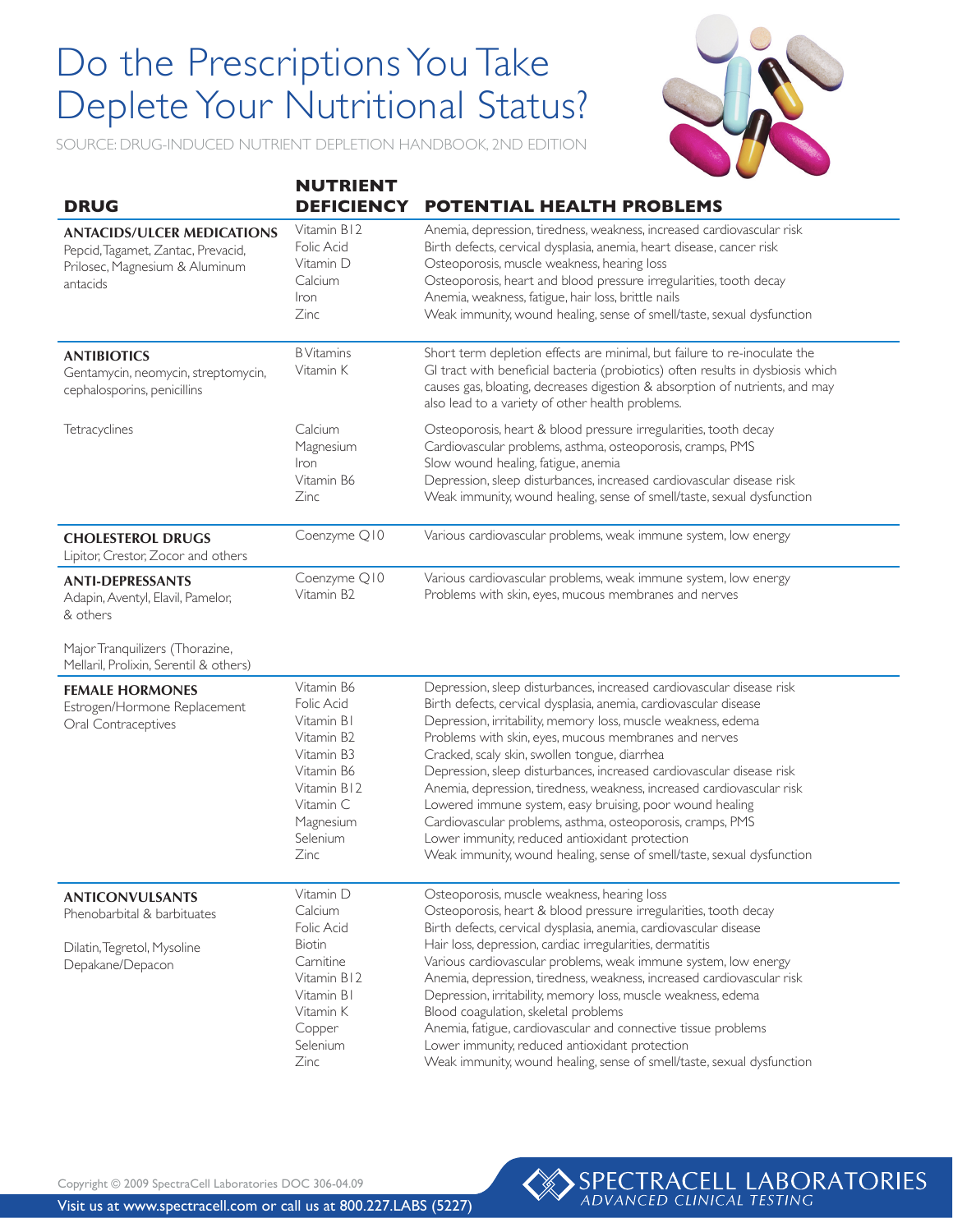## Do the Prescriptions You Take Do the Prescriptions You Take Deplete Your Nutritional Status? Deplete Your Nutritional Status?



SOURCE: DRUG-INDUCED NUTRIENT DEPLETION HANDBOOK, 2ND EDITION

| <b>DRUG</b>                                                                                                           | <b>NUTRIENT</b><br><b>DEFICIENCY</b>                                                                                                          | <b>POTENTIAL HEALTH PROBLEMS</b>                                                                                                                                                                                                                                                                                                                                                                                                                                                                                                                                                                                                                                                                                               |
|-----------------------------------------------------------------------------------------------------------------------|-----------------------------------------------------------------------------------------------------------------------------------------------|--------------------------------------------------------------------------------------------------------------------------------------------------------------------------------------------------------------------------------------------------------------------------------------------------------------------------------------------------------------------------------------------------------------------------------------------------------------------------------------------------------------------------------------------------------------------------------------------------------------------------------------------------------------------------------------------------------------------------------|
| <b>ANTACIDS/ULCER MEDICATIONS</b><br>Pepcid, Tagamet, Zantac, Prevacid,<br>Prilosec, Magnesium & Aluminum<br>antacids | Vitamin B12<br><b>Folic Acid</b><br>Vitamin D<br>Calcium<br>Iron<br>Zinc                                                                      | Anemia, depression, tiredness, weakness, increased cardiovascular risk<br>Birth defects, cervical dysplasia, anemia, heart disease, cancer risk<br>Osteoporosis, muscle weakness, hearing loss<br>Osteoporosis, heart and blood pressure irregularities, tooth decay<br>Anemia, weakness, fatigue, hair loss, brittle nails<br>Weak immunity, wound healing, sense of smell/taste, sexual dysfunction                                                                                                                                                                                                                                                                                                                          |
| <b>ANTIBIOTICS</b><br>Gentamycin, neomycin, streptomycin,<br>cephalosporins, penicillins                              | <b>B</b> Vitamins<br>Vitamin K                                                                                                                | Short term depletion effects are minimal, but failure to re-inoculate the<br>GI tract with beneficial bacteria (probiotics) often results in dysbiosis which<br>causes gas, bloating, decreases digestion & absorption of nutrients, and may<br>also lead to a variety of other health problems.                                                                                                                                                                                                                                                                                                                                                                                                                               |
| Tetracyclines                                                                                                         | Calcium<br>Magnesium<br>Iron<br>Vitamin B6<br>Zinc                                                                                            | Osteoporosis, heart & blood pressure irregularities, tooth decay<br>Cardiovascular problems, asthma, osteoporosis, cramps, PMS<br>Slow wound healing, fatigue, anemia<br>Depression, sleep disturbances, increased cardiovascular disease risk<br>Weak immunity, wound healing, sense of smell/taste, sexual dysfunction                                                                                                                                                                                                                                                                                                                                                                                                       |
| <b>CHOLESTEROL DRUGS</b><br>Lipitor, Crestor, Zocor and others                                                        | Coenzyme Q10                                                                                                                                  | Various cardiovascular problems, weak immune system, low energy                                                                                                                                                                                                                                                                                                                                                                                                                                                                                                                                                                                                                                                                |
| <b>ANTI-DEPRESSANTS</b><br>Adapin, Aventyl, Elavil, Pamelor,<br>& others                                              | Coenzyme Q10<br>Vitamin B <sub>2</sub>                                                                                                        | Various cardiovascular problems, weak immune system, low energy<br>Problems with skin, eyes, mucous membranes and nerves                                                                                                                                                                                                                                                                                                                                                                                                                                                                                                                                                                                                       |
| Major Tranquilizers (Thorazine,<br>Mellaril, Prolixin, Serentil & others)                                             |                                                                                                                                               |                                                                                                                                                                                                                                                                                                                                                                                                                                                                                                                                                                                                                                                                                                                                |
| <b>FEMALE HORMONES</b><br>Estrogen/Hormone Replacement<br>Oral Contraceptives                                         | Vitamin B6<br>Folic Acid<br>Vitamin B1<br>Vitamin B2<br>Vitamin B3<br>Vitamin B6<br>Vitamin B12<br>Vitamin C<br>Magnesium<br>Selenium<br>Zinc | Depression, sleep disturbances, increased cardiovascular disease risk<br>Birth defects, cervical dysplasia, anemia, cardiovascular disease<br>Depression, irritability, memory loss, muscle weakness, edema<br>Problems with skin, eyes, mucous membranes and nerves<br>Cracked, scaly skin, swollen tongue, diarrhea<br>Depression, sleep disturbances, increased cardiovascular disease risk<br>Anemia, depression, tiredness, weakness, increased cardiovascular risk<br>Lowered immune system, easy bruising, poor wound healing<br>Cardiovascular problems, asthma, osteoporosis, cramps, PMS<br>Lower immunity, reduced antioxidant protection<br>Weak immunity, wound healing, sense of smell/taste, sexual dysfunction |
| <b>ANTICONVULSANTS</b><br>Phenobarbital & barbituates<br>Dilatin, Tegretol, Mysoline<br>Depakane/Depacon              | Vitamin D<br>Calcium<br>Folic Acid<br>Biotin<br>Carnitine<br>Vitamin B12<br>Vitamin B1<br>Vitamin K<br>Copper<br>Selenium                     | Osteoporosis, muscle weakness, hearing loss<br>Osteoporosis, heart & blood pressure irregularities, tooth decay<br>Birth defects, cervical dysplasia, anemia, cardiovascular disease<br>Hair loss, depression, cardiac irregularities, dermatitis<br>Various cardiovascular problems, weak immune system, low energy<br>Anemia, depression, tiredness, weakness, increased cardiovascular risk<br>Depression, irritability, memory loss, muscle weakness, edema<br>Blood coagulation, skeletal problems<br>Anemia, fatigue, cardiovascular and connective tissue problems<br>Lower immunity, reduced antioxidant protection                                                                                                    |

Copyright © 2009 SpectraCell Laboratories DOC 306-04.09



Anemia, depression, tiredness, weakness, increased cardiovascular risk